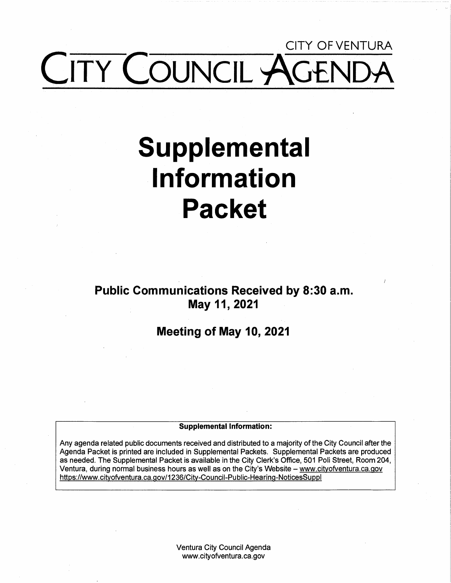# CITY OF VENTURA ITY COUNCIL AG

# **Supplemental Information Packet**

**Public Communications Received by 8:30 a.m. May 11, 2021** 

**Meeting of May 10, 2021** 

#### **Supplemental Information:**

Any agenda related public documents received and distributed to a majority of the City Council after the Agenda Packet is printed are included in Supplemental Packets. Supplemental Packets are produced as needed. The Supplemental Packet is available in the City Clerk's Office, 501 Poli Street, Room 204, Ventura, during normal business hours as well as on the City's Website - www.cityofventura.ca.gov https://www.cityofventura.ca.gov/1236/City-Council-Public-Hearing-NoticesSuppl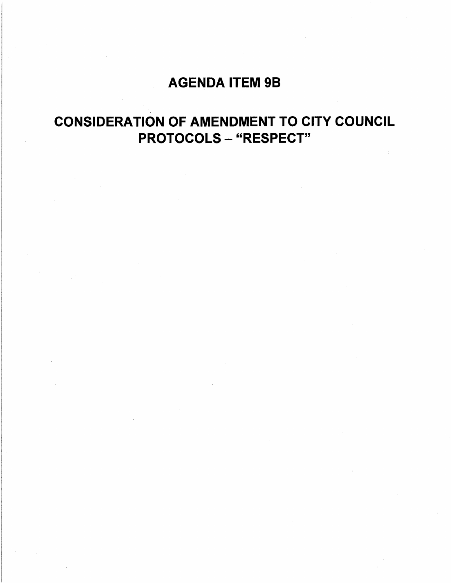# AGENDA ITEM 9B

# CONSIDERATION OF AMENDMENT TO CITY COUNCIL PROTOCOLS - "RESPECT"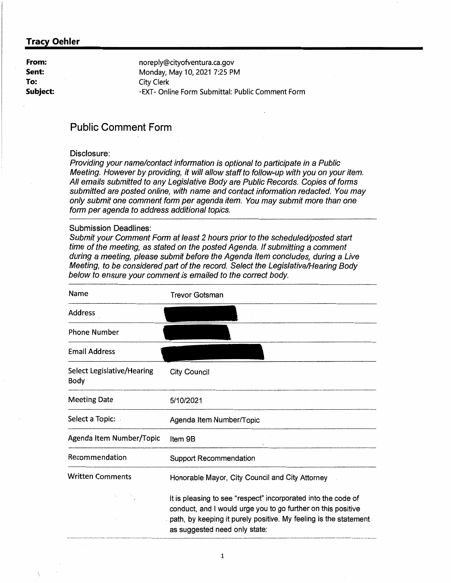**From: Sent: To: Subject:**  noreply@cityofventura.ca.gov Monday, May 10, 2021 7:25 PM City Clerk -EXT- Online Form Submittal: Public Comment Form

# **Public Comment Form**

#### Disclosure:

Providing your name/contact information is optional to participate in a Public Meeting. However by providing, it will allow staff to follow-up with you on your item. All emails submitted to any Legislative Body are Public Records. Copies of forms submitted are posted online, with name and contact information redacted. You may only submit one comment form per agenda item. You may submit more than one form per agenda to address additional topics.

#### Submission Deadlines:

Submit your Comment Form at least 2 hours prior to the scheduled/posted start time of the meeting, as stated on the posted Agenda. If submitting a comment during a meeting, please submit before the Agenda Item concludes, during a Live Meeting, to be considered part of the record. Select the Legislative/Hearing Body below to ensure your comment is emailed to the correct body.

| Name                               | <b>Trevor Gotsman</b>                                                                                                                                                                                                              |
|------------------------------------|------------------------------------------------------------------------------------------------------------------------------------------------------------------------------------------------------------------------------------|
| Address                            |                                                                                                                                                                                                                                    |
| <b>Phone Number</b>                |                                                                                                                                                                                                                                    |
| <b>Email Address</b>               |                                                                                                                                                                                                                                    |
| Select Legislative/Hearing<br>Body | <b>City Council</b>                                                                                                                                                                                                                |
| <b>Meeting Date</b>                | 5/10/2021                                                                                                                                                                                                                          |
| Select a Topic:                    | Agenda Item Number/Topic                                                                                                                                                                                                           |
| Agenda Item Number/Topic           | Item 9B                                                                                                                                                                                                                            |
| Recommendation                     | <b>Support Recommendation</b>                                                                                                                                                                                                      |
| <b>Written Comments</b>            | Honorable Mayor, City Council and City Attorney                                                                                                                                                                                    |
|                                    | It is pleasing to see "respect" incorporated into the code of<br>conduct, and I would urge you to go further on this positive<br>path, by keeping it purely positive. My feeling is the statement<br>as suggested need only state: |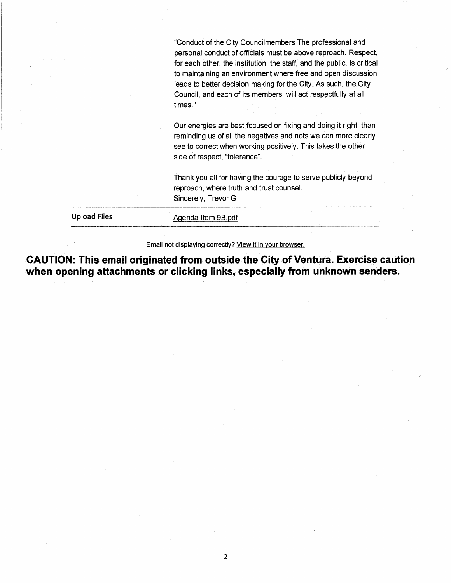"Conduct of the City Councilmembers The professional and personal conduct of officials must be above reproach. Respect, for each other, the institution, the staff, and the public, is critical to maintaining an environment where free and open discussion leads to better decision making for the City. As such, the City Council, and each of its members, will act respectfully at all times."

Our energies are best focused on fixing and doing it right, than reminding us of all the negatives and nots we can more clearly see to correct when working positively. This takes the other side of respect, "tolerance".

Thank you all for having the courage to serve publicly beyond reproach, where truth and trust counsel. Sincerely, Trevor G

| <b>Upload Files</b> | Agenda Item 9B pdf |  |
|---------------------|--------------------|--|
|                     |                    |  |
|                     |                    |  |
|                     |                    |  |

Email not displaying correctly? View it in your browser.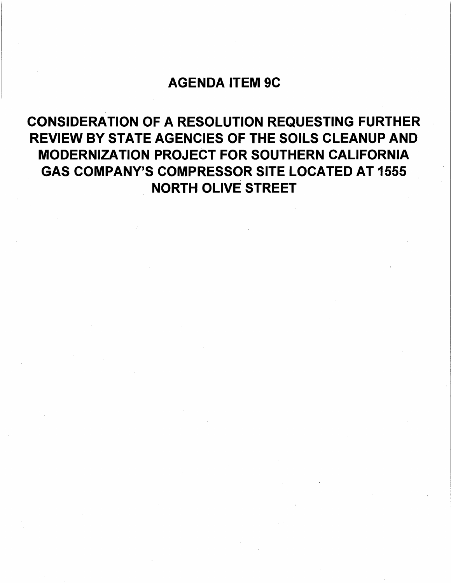# AGENDA ITEM 9C

CONSIDERATION OF A RESOLUTION REQUESTING FURTHER REVIEW BY STATE AGENCIES OF THE SOILS CLEANUP AND MODERNIZATION PROJECT FOR SOUTHERN CALIFORNIA GAS COMPANY'S COMPRESSOR SITE LOCATED AT 1555 NORTH OLIVE STREET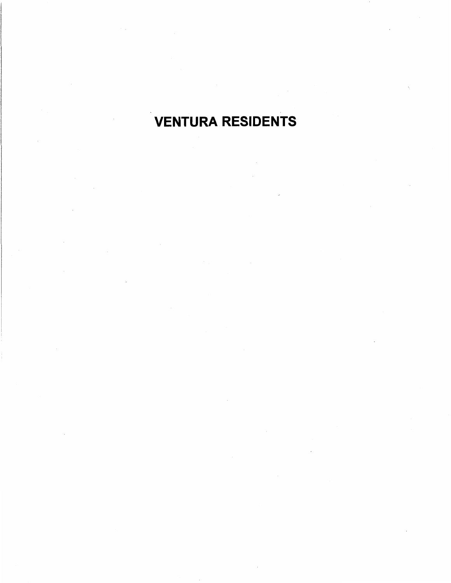# VENTURA RESIDENTS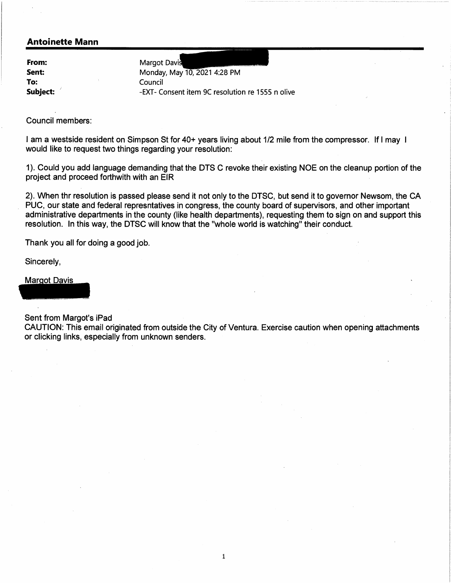#### **Antoinette Mann**

**From: Sent: To: Subject:** *<sup>1</sup>*

Margot Davis Monday, May 10, 2021 4:28 PM Council -EXT- Consent item 9C resolution re 1555 n olive

Council members:

I am a westside resident on Simpson St for 40+ years living about 1/2 mile from the compressor. If I may I would like to request two things regarding your resolution:

1). Could you add language demanding that the DTS C revoke their existing NOE on the cleanup portion of the project and proceed forthwith with an EIR

2). When thr resolution is passed please send it not only to the DTSC, but send it to governor Newsom, the CA PUC, our state and federal represntatives in congress, the county board of supervisors, and other important administrative departments in the county (like health departments), requesting them to sign on and support this resolution. In this way, the DTSC will know that the "whole world is watching" their conduct.

Thank you all for doing a good job. Thank you all for doing a g<br>Sincerely,<br>Margot Davis

Sincerely,

Sent from Margot's iPad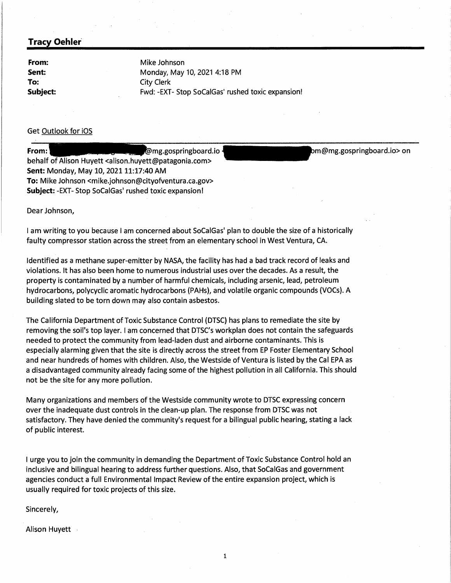**From: Sent: To: Subject:**  Mike Johnson Monday, May 10, 2021 4:18 PM City Clerk Fwd: -EXT- Stop SoCalGas' rushed toxic expansion!

#### Get Outlook for iOS

**From: mg.gospringboard.io** behalf of Alison Huyett <alison.huyett@patagonia.com> **Sent: Monday, May 10, 2021 11:17:40 AM To:** Mike Johnson <mike.johnson@cityofventura.ca.gov> **Subject:** -EXT- Stop SoCalGas' rushed toxic expansion! m@mg.gospringboard.io> on

Dear Johnson,

I am writing to you because I am concerned about SoCalGas' plan to double the size of a historically faulty compressor station across the street from an elementary school in West Ventura, CA.

Identified as a methane super-emitter by NASA, the facility has had a bad track record of leaks and violations. It has also been home to numerous industrial uses over the decades. As a result, the property is contaminated by a number of harmful chemicals, including arsenic, lead, petroleum hydrocarbons, polycyclic aromatic hydrocarbons (PAHs), and volatile organic compounds (VOCs). A building slated to be torn down may also contain asbestos.

The California Department of Toxic Substance Control (DTSC) has plans to remediate the site by removing the soil's top layer. I am concerned that DTSC's workplan does not contain the safeguards needed to protect the community from lead-laden dust and airborne contaminants. This is especially alarming given that the site is directly across the street from EP Foster Elementary School and near hundreds of homes with children. Also, the Westside of Ventura is listed by the Cal EPA as a disadvantaged community already facing some of the highest pollution in all California. This should not be the site for any more pollution.

Many organizations and members of the Westside community wrote-to DTSC expressing concern over the inadequate dust controls in the clean-up plan. The response from DTSC was not satisfactory. They have denied the community's request for a bilingual public hearing, stating a lack of public interest.

I urge you to join the community in demanding the Department of Toxic Substance Control hold an inclusive and bilingual hearing to address further questions. Also, that SoCalGas and government agencies conduct a full Environmental Impact Review of the entire expansion project, which is usually required for toxic projects of this size.

Sincerely,

Alison Huyett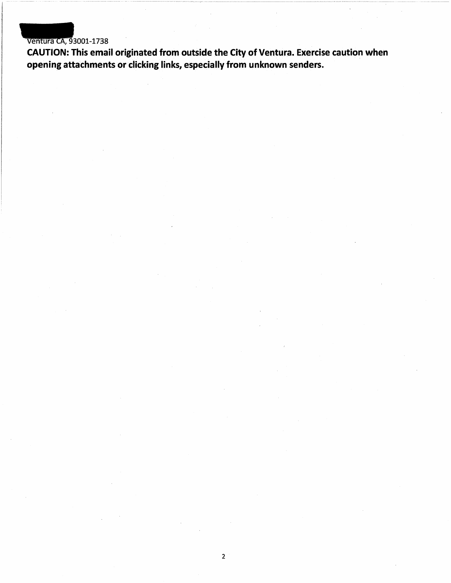# Ventura CA, 93001-1738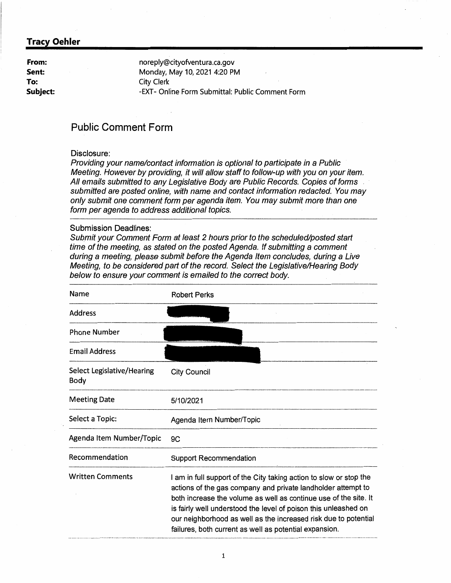**From: Sent: To: Subject:**  noreply@cityofventura.ca.gov Monday, May 10, 2021 4:20 PM City Clerk -EXT- Online Form Submittal: Public Comment Form

# **Public Comment Form**

#### Disclosure:

Providing your name/contact information is optional to participate in a Public Meeting. However by providing, it will allow staff to follow-up with you on your item. All emails submitted to any Legislative Body are Public Records. Copies of forms submitted are posted online, with name and contact information redacted. You may only submit one comment form per agenda item. You may submit more than one form per agenda to address additional topics.

#### Submission Deadlines:

Submit your Comment Form at least 2 hours prior to the scheduled/posted start time of the meeting, as stated on the posted Agenda. If submitting a comment during a meeting, please submit before the Agenda Item concludes, during a Live Meeting, to be considered part of the record. Select the Legislative/Hearing Body below to ensure your comment is emailed to the correct body.

| Name                               | <b>Robert Perks</b>                                                                                                                                                                                                                                                                                                                                                                                    |
|------------------------------------|--------------------------------------------------------------------------------------------------------------------------------------------------------------------------------------------------------------------------------------------------------------------------------------------------------------------------------------------------------------------------------------------------------|
| <b>Address</b>                     |                                                                                                                                                                                                                                                                                                                                                                                                        |
| <b>Phone Number</b>                |                                                                                                                                                                                                                                                                                                                                                                                                        |
| <b>Email Address</b>               |                                                                                                                                                                                                                                                                                                                                                                                                        |
| Select Legislative/Hearing<br>Body | <b>City Council</b>                                                                                                                                                                                                                                                                                                                                                                                    |
| <b>Meeting Date</b>                | 5/10/2021                                                                                                                                                                                                                                                                                                                                                                                              |
| Select a Topic:                    | Agenda Item Number/Topic                                                                                                                                                                                                                                                                                                                                                                               |
| Agenda Item Number/Topic           | 9C                                                                                                                                                                                                                                                                                                                                                                                                     |
| Recommendation                     | <b>Support Recommendation</b>                                                                                                                                                                                                                                                                                                                                                                          |
| <b>Written Comments</b>            | I am in full support of the City taking action to slow or stop the<br>actions of the gas company and private landholder attempt to<br>both increase the volume as well as continue use of the site. It<br>is fairly well understood the level of poison this unleashed on<br>our neighborhood as well as the increased risk due to potential<br>failures, both current as well as potential expansion. |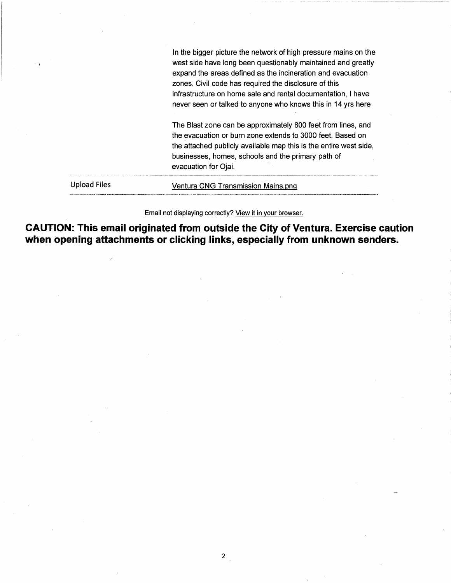Upload Files In the bigger picture the network of high pressure mains on the west side have long been questionably maintained and greatly expand the areas defined as the incineration and evacuation zones. Civil code has required the disclosure of this infrastructure on home sale and rental documentation, I have never seen or talked to anyone who knows this in 14 yrs here The Blast zone can be approximately 800 feet from lines, and the evacuation or burn zone extends to 3000 feet. Based on the attached publicly available map this is the entire west side, businesses, homes, schools and the primary path of evacuation for Ojai. Ventura CNG Transmission Mains.png ----- ··-----------····•---·--·---·-----·------ ------------------

Email not displaying correctly? View it in your browser.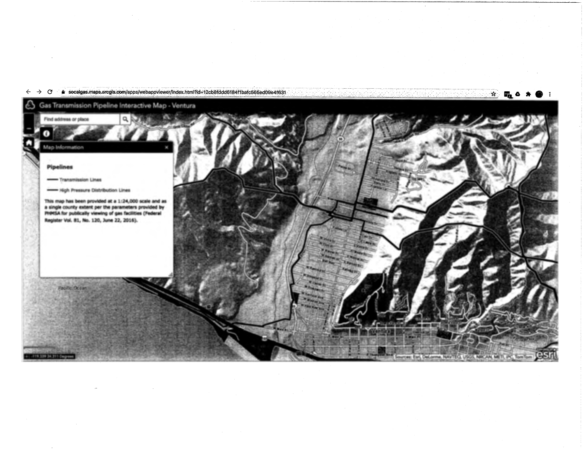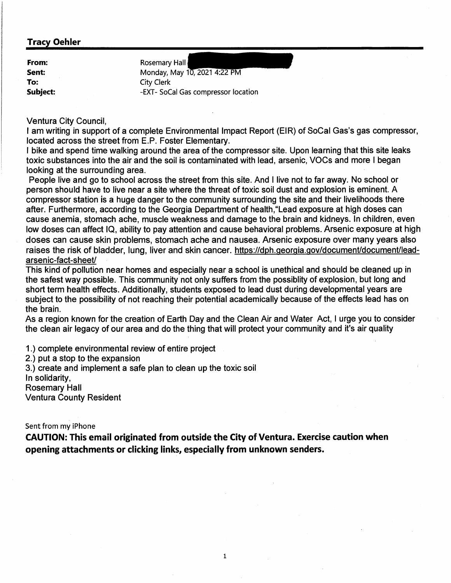| From:    | Rosemary Hall                       |
|----------|-------------------------------------|
| Sent:    | Monday, May 10, 2021 4:22 PM        |
| To:      | <b>City Clerk</b>                   |
| Subject: | -EXT- SoCal Gas compressor location |

Ventura City Council,

I am writing in support of a complete Environmental Impact Report (EIR) of SoCal Gas's gas compressor, located across the street from E.P. Foster Elementary.

I bike and spend time walking around the area of the compressor site. Upon learning that this site leaks toxic substances into the air and the soil is contaminated with lead, arsenic, VOCs and more I began looking at the surrounding area.

People live and go to school across the street from this site. And I live not to far away. No school or person should have to live near a site where the threat of toxic soil dust and explosion is eminent. A compressor station is a huge danger to the community surrounding the site and their livelihoods there after. Furthermore, according to the Georgia Department of health,"Lead exposure at high doses can cause anemia, stomach ache, muscle weakness and damage to the brain and kidneys. In children, even low doses can affect IQ, ability to pay attention and cause behavioral problems. Arsenic exposure at high doses can cause skin problems, stomach ache and nausea. Arsenic exposure over many years also raises the risk of bladder, lung, liver and skin cancer. https://dph.georgia.gov/document/document/leadarsenic-fact-sheet/

This kind of pollution near homes and especially near a school is unethical and should be cleaned up in the safest way possible. This community not only suffers from the possiblity of explosion, but long and short term health effects. Additionally, students exposed to lead dust during developmental years are subject to the possibility of not reaching their potential academically because of the effects lead has on the brain.

As a region known for the creation of Earth Day and the Clean Air and Water Act, I urge you to consider the clean air legacy of our area and do the thing that will protect your community and it's air quality

1.) complete environmental review of entire project

2.) put a stop to the expansion

3.) create and implement a safe plan to clean up the toxic soil

In solidarity,

Rosemary Hall

Ventura County Resident

Sent from my iPhone

**CAUTION: This email originated from outside the City of Ventura. Exercise caution when opening attachments or clicking links, especially from unknown senders.** 

1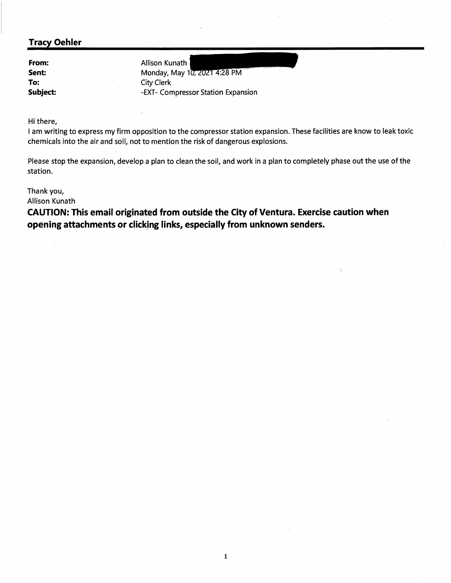**From: Sent: To: Subject:**  Allison Kunath Monday, May 10, 2021 4:28 PM City Clerk -EXT- Compressor Station Expansion

Hi.there,

I am writing to express my firm opposition to the compressor station expansion. These facilities are know to leak toxic chemicals into the air and soil, not to mention the risk of dangerous explosions.

Please stop the expansion, develop a plan to clean the soil, and work in a plan to completely phase out the use of the station.

1

Thank you,

Allison Kunath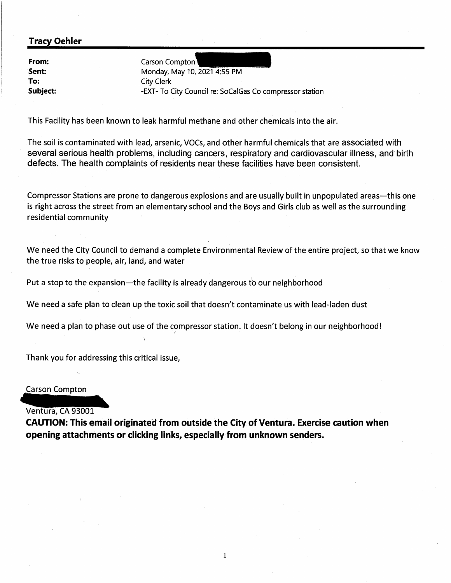**From: Sent: To: Subject:** 

Carson Compton<sup>1</sup> Monday, May 10, 2021 4:55 PM City Clerk -EXT- To City Council re: SoCalGas Co compressor station

This Facility has been known to leak harmful methane and other chemicals into the air.

The soil is contaminated with lead, arsenic, VOCs, and other harmful chemicals that are associated with several serious health problems, including cancers, respiratory and cardiovascular illness, and· birth defects. The health complaints of residents near these facilities have been consistent.

Compressor Stations are prone to dangerous explosions and are usually built in unpopulated areas—this one is right across the street from an elementary school and the Boys and Girls club as well as the surrounding residential community

We need the City Council to demand a complete Environmental Review of the entire project, so that we know the true risks to people, air, land, and water

Put a stop to the expansion—the facility is already dangerous to our neighborhood

We need a safe plan to clean up the toxic soil that doesn't contaminate us with lead-laden dust

We need a plan to phase out use of the compressor station. It doesn't belong in our neighborhood!

Thank you for addressing this critical issue,

Carson Compton

#### Ventura, CA 93001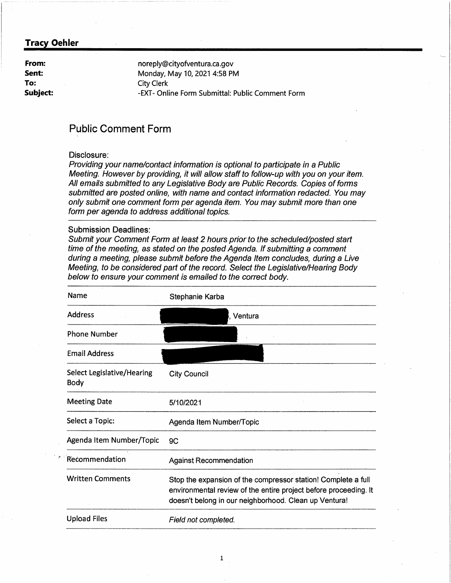**From: Sent: To: Subject:**  noreply@cityofventura.ca.gov Monday, May 10, 2021 4:58 PM City Clerk -EXT- Online Form Submittal: Public Comment Form

## **Public Comment Form**

#### Disclosure:

Providing your name/contact information is optional to participate in a Public Meeting. However by providing, it will allow staff to follow-up with you on your item. All emails submitted to any Legislative Body are Public Records. Copies of forms submitted are posted online, with name and contact information redacted. You may only submit one comment form per agenda item. You may submit more than one form per agenda to address additional topics.

#### Submission Deadlines:

Submit your Comment Form at least 2 hours prior to the-scheduled/posted start time of the meeting, as stated on the posted Agenda. If submitting a comment during a meeting, please submit before the Agenda Item concludes, during a Live Meeting, to be considered part of the record. Select the Legislative/Hearing Body below to ensure your comment is emailed to the correct body.

| Name                                      | Stephanie Karba                                                                                                                                                                            |
|-------------------------------------------|--------------------------------------------------------------------------------------------------------------------------------------------------------------------------------------------|
| <b>Address</b>                            | , Ventura                                                                                                                                                                                  |
| <b>Phone Number</b>                       |                                                                                                                                                                                            |
| <b>Email Address</b>                      |                                                                                                                                                                                            |
| Select Legislative/Hearing<br><b>Body</b> | <b>City Council</b>                                                                                                                                                                        |
| <b>Meeting Date</b>                       | 5/10/2021                                                                                                                                                                                  |
| Select a Topic:                           | Agenda Item Number/Topic                                                                                                                                                                   |
| Agenda Item Number/Topic                  | 9C                                                                                                                                                                                         |
| Recommendation                            | <b>Against Recommendation</b>                                                                                                                                                              |
| <b>Written Comments</b>                   | Stop the expansion of the compressor station! Complete a full<br>environmental review of the entire project before proceeding. It<br>doesn't belong in our neighborhood. Clean up Ventura! |
| <b>Upload Files</b>                       | Field not completed.                                                                                                                                                                       |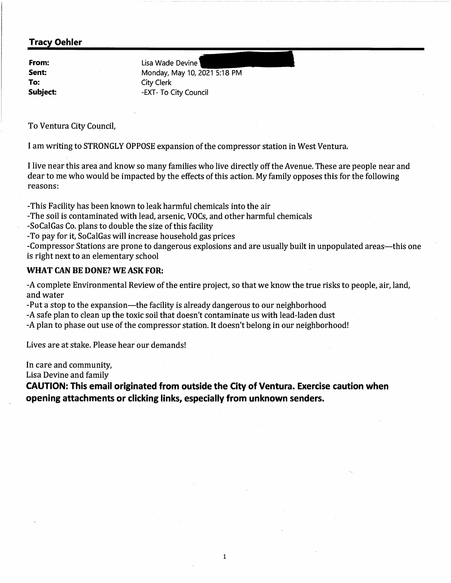**Sent: To:** 

**From:** Lisa Wade Devine Monday, May 10, 2021 5:18 PM City Clerk **Subject:**  $-EXT$ -EXT- To City Council

To Ventura City Council,

I am writing to STRONGLY OPPOSE expansion of the compressor station in West Ventura.

I live near this area and know so many families who live directly off the Avenue. These are people near and dear to me who would be impacted by the effects of this action. My family opposes this for the following reasons:

-This Facility has been known to leak harmful chemicals into the air

-The soil is contaminated with lead, arsenic, VOCs, and other harmful chemicals

-So Cal Gas Co. plans to double the size of this facility

-To pay for it, SoCalGas will increase household gas prices

-Compressor Stations are prone to dangerous explosions and are usually built in unpopulated areas—this one is right next to an elementary school

#### **WHAT CAN BE DONE? WE ASK FOR:**

-A complete Environmental Review of the entire project, so that we know the true risks to people, air, land, and water

-Put a stop to the expansion—the facility is already dangerous to our neighborhood

-A safe plan to clean up the toxic soil that doesn't contaminate us with lead-laden dust

-A plan to phase out use of the compressor station. It doesn't belong in our neighborhood!

Lives are at stake. Please hear our demands!

In care and community,

Lisa Devine and family

**CAUTION: This email originated from outside the City of Ventura. Exercise caution when opening attachments or clicking links, especially from unknown senders.** 

1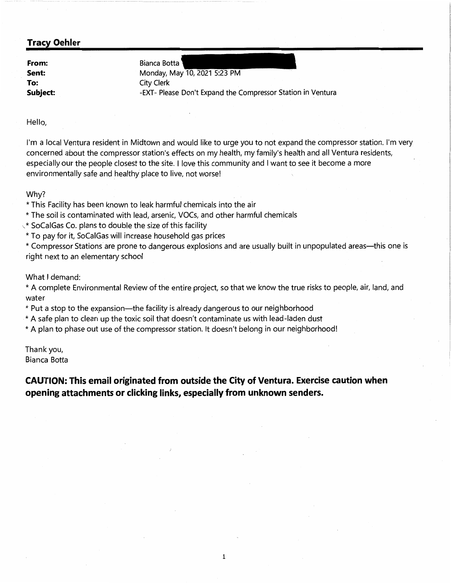**From: Sent: To: Subject:** 

Bianca Botta Monday, May 10, 2021 5:23 PM City Clerk -EXT- Please Don't Expand the Compressor Station in Ventura

Hello,

I'm a local Ventura resident in Midtown and would like to urge you to not expand the compressor station. I'm very concerned about the compressor station's effects on my health, my family's health and all Ventura residents, especially our the people closest to the site. I love this community and I want to see it become a more environmentally safe and healthy place to live, not worse!

Why?

\* This Facility has been known to leak harmful chemicals into the air

\* The soil is contaminated with lead, arsenic, VOCs, and other harmful chemicals

 $\check{\ }$  SoCalGas Co. plans to double the size of this facility

\* To pay for it, SoCalGas will increase household gas prices

\* Compressor Stations are prone to dangerous explosions and are usually built in unpopulated areas-this one is right next to an elementary school

What I demand:

\* A complete Environmental Review of the entire project, so that we know the true risks to people, air, land, and water

\* Put a stop to the expansion-the facility is already dangerous to our neighborhood

\* A safe plan to clean up the toxic soil that doesn't contaminate us with lead-laden dust

\* A plan to phase out use of the compressor station. It doesn't belong in our neighborhood!

Thank you, Bianca Botta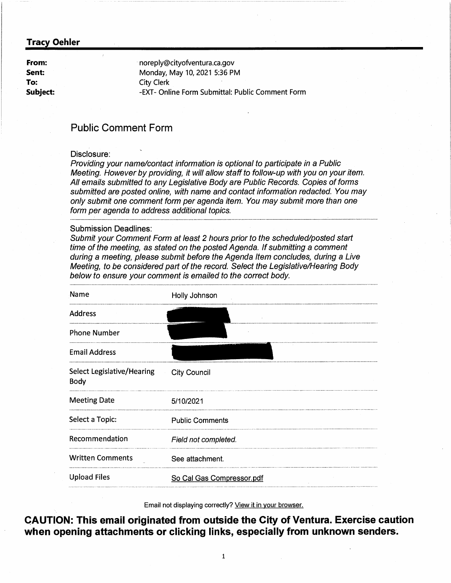**From: Sent: To: Subject:** 

· noreply@cityofventura.ca.gov Monday, May 10, 2021 5:36 PM City Clerk -EXT- Online Form Submittal: Public Comment Form

## **Public Comment Form**

#### Disclosure:

Providing your name/contact information is optional to participate in a Public Meeting. However by providing, it will allow staff to follow-up with you on your item. All emails submitted to any Legislative Body are Public Records. Copies of forms submitted are posted online, with name and contact information redacted. You may only submit one comment form per agenda item. You may submit more than one form per agenda to address additional topics.

#### Submission Deadlines:

Submit your Comment Form at least 2 hours prior to the scheduled/posted start time of the meeting, as stated on the posted Agenda. *If* submitting a comment during a meeting, please submit before the Agenda Item concludes, during a Live Meeting, to be considered part of the record. Select the Legislative/Hearing Body below to ensure your comment is emailed to the correct body.

| Name                                      | Holly Johnson             |
|-------------------------------------------|---------------------------|
| <b>Address</b>                            |                           |
| <b>Phone Number</b>                       |                           |
| <b>Email Address</b>                      |                           |
| <b>Select Legislative/Hearing</b><br>Body | <b>City Council</b>       |
| <b>Meeting Date</b>                       | 5/10/2021                 |
| Select a Topic:                           | <b>Public Comments</b>    |
| Recommendation                            | Field not completed.      |
| <b>Written Comments</b>                   | See attachment.           |
| <b>Upload Files</b>                       | So Cal Gas Compressor.pdf |

Email not displaying correctly? View it in your browser.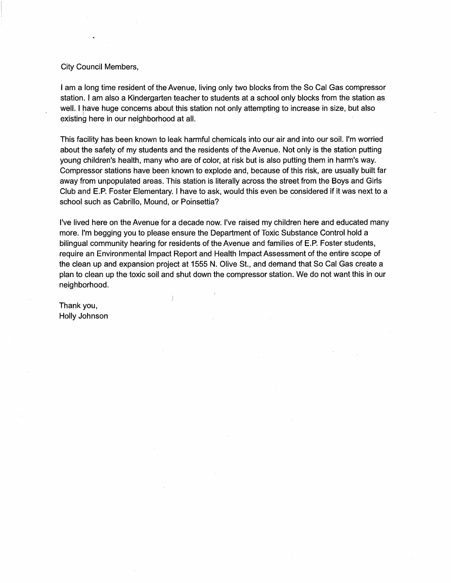#### City Council Members,

I am a long time resident of the Avenue, living only two blocks from the So Cal Gas compressor station. I am also a Kindergarten teacher to students at a school only blocks from the station as well. I have huge concerns about this station not only attempting to increase in size, but also ) existing here in our neighborhood at all.

This facility has been known to leak harmful chemicals into our air and into our soil. I'm worried about the safety of my students and the residents of the Avenue. Not only is the station putting young children's health, many who are of color, at risk but is also putting them in harm's way. Compressor stations have been known to explode and, because of this risk, are usually built far away from unpopulated areas. This station is literally across the street from the Boys and Girls Club and E.P. Foster Elementary. I have to ask, would this even be considered if it was next to a school such as Cabrillo, Mound, or Poinsettia?

I've lived here on the Avenue for a decade now. I've raised my children here and educated many more. I'm begging you to please ensure the Department of Toxic Substance Control hold a bilingual community hearing for residents of the Avenue and families of E.P. Foster students, require an Environmental Impact Report and Health Impact Assessment of the entire scope of the clean up and expansion project at 1555 N. Olive St., and demand that So Cal Gas create a plan to clean up the toxic soil and shut down the compressor station. We do not want this in our neighborhood.

 $\Big)$ 

Thank you, Holly Johnson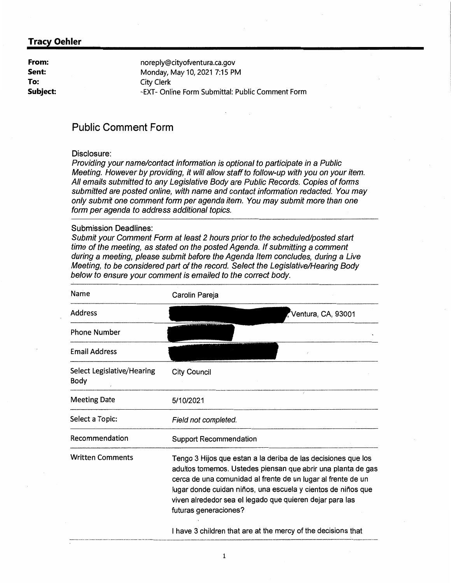**From: Sent: To: Subject:**  noreply@cityofventura.ca.gov Monday, May 10, 2021 7:15 PM City Clerk -EXT- Online Form Submittal: Public Comment Form

# **Public Comment Form**

#### Disclosure:

Providing your name/contact information is optional to participate in a Public Meeting. However by providing, it will allow staff to follow-up with you on your item. All emails submitted to any Legislative Body are Public Records. Copies of forms submitted are posted online, with name and contact information redacted. You may only submit one comment form per agenda item. You may submit more than one form per agenda to address additional topics.

#### Submission Deadlines:

Submit your Comment Form at least 2 hours prior to the scheduled/posted start time of the meeting, as stated on the posted Agenda. If submitting a comment during a meeting, please submit before the Agenda Item concludes, during a Live Meeting, to be considered part of the record. Select the Legislative/Hearing Body below to ensure your comment is emailed to the correct body.

| Name                               | Carolin Pareja                                                                                                                                                                                                                                                                                                                                     |
|------------------------------------|----------------------------------------------------------------------------------------------------------------------------------------------------------------------------------------------------------------------------------------------------------------------------------------------------------------------------------------------------|
| <b>Address</b>                     | Ventura, CA, 93001                                                                                                                                                                                                                                                                                                                                 |
| <b>Phone Number</b>                |                                                                                                                                                                                                                                                                                                                                                    |
| <b>Email Address</b>               |                                                                                                                                                                                                                                                                                                                                                    |
| Select Legislative/Hearing<br>Body | <b>City Council</b>                                                                                                                                                                                                                                                                                                                                |
| <b>Meeting Date</b>                | 5/10/2021                                                                                                                                                                                                                                                                                                                                          |
| Select a Topic:                    | Field not completed.                                                                                                                                                                                                                                                                                                                               |
| Recommendation                     | <b>Support Recommendation</b>                                                                                                                                                                                                                                                                                                                      |
| <b>Written Comments</b>            | Tengo 3 Hijos que estan a la deriba de las decisiones que los<br>adultos tomemos. Ustedes piensan que abrir una planta de gas<br>cerca de una comunidad al frente de un lugar al frente de un<br>lugar donde cuidan niños, una escuela y cientos de niños que<br>viven alrededor sea el legado que quieren dejar para las<br>futuras generaciones? |
|                                    | I have 3 children that are at the mercy of the decisions that                                                                                                                                                                                                                                                                                      |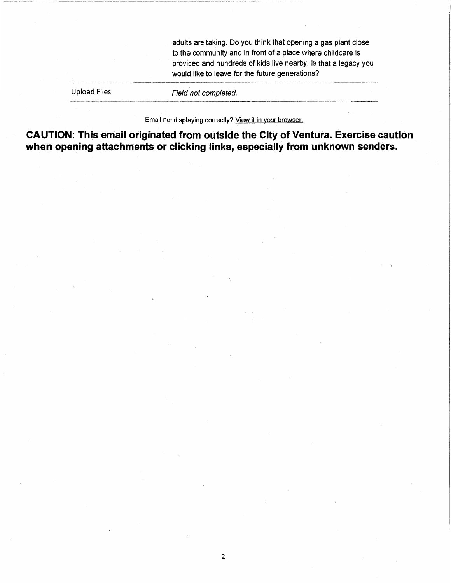adults are taking. Do you think that opening a gas plant close to the community and in front of a place where childcare is provided and hundreds of kids live nearby, is that a legacy you would like to leave for the future generations?

Upload Files

Field not completed.

Email not displaying correctly? View it in your browser.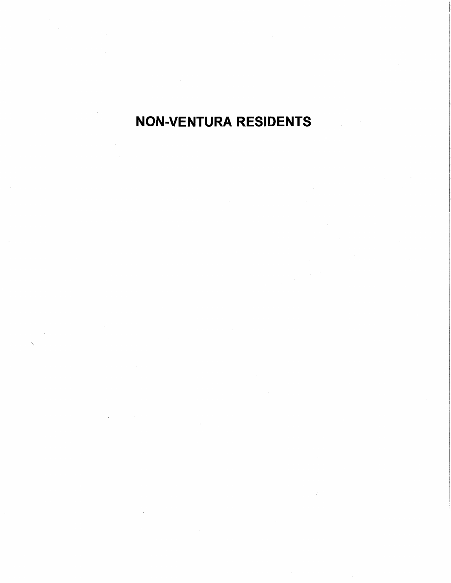# NON-VENTURA RESIDENTS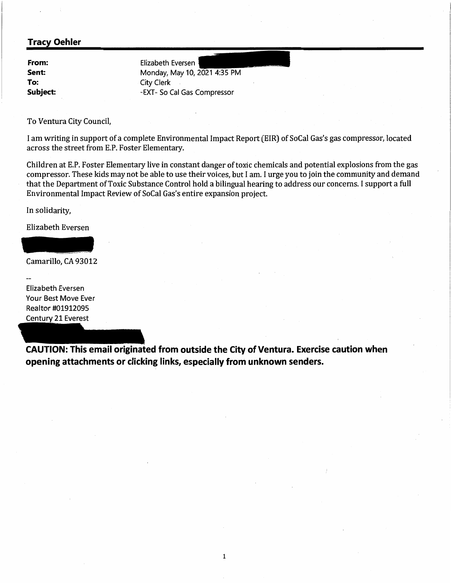**From: Sent: To: Subject:**  Elizabeth Eversen Monday, May 10, 2021 4:35 PM City Clerk -EXT- So Cal Gas Compressor

To Ventura City Council,

I am writing in support of a complete Environmental Impact Report (EIR) of SoCal Gas's gas compressor, located across the street from E.P. Foster Elementary.

Children at E.P. Foster Elementary live in constant danger of toxic chemicals and potential explosions from the gas compressor. These kids may not be able to use their voices, but I am. I urge you to join the community and demand that the Department of Toxic Substance Control hold a bilingual hearing to address our concerns. I support a full Environmental Impact Review of SoCal Gas's entire expansion project.

In solidarity,

Elizabeth Eversen

Camarillo, CA 93012

Elizabeth Eversen Your Best Move Ever Realtor #01912095 Century 21 Everest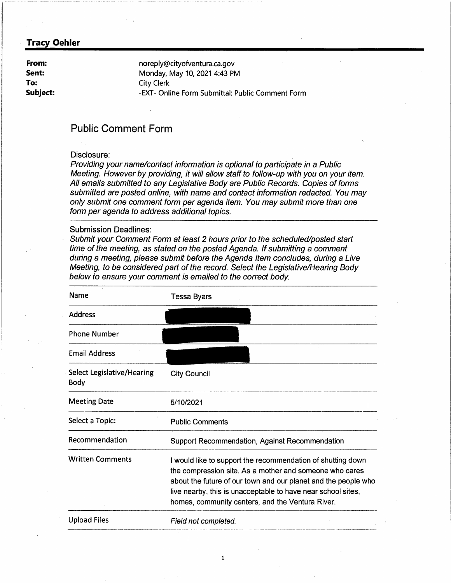**From: Sent: To: Subject:**  noreply@cityofventura.ca.gov Monday, May 10, 2021 4:43 PM City Clerk -EXT- Online Form Submittal: Public Comment Form

# **Public Comment Form**

#### Disclosure:

Providing your name/contact information is optional to participate in a Public Meeting. However by providing, it will allow staff to follow-up with you on your item. All emails submitted to any Legislative Body are Public Records. Copies of forms submitted are posted online, with name and contact information redacted. You may only submit one comment form per agenda item. You may submit more than one form per agenda to address additional topics.

#### Submission Deadlines:

Submit your Comment Form at least 2 hours prior to the scheduled/posted start time of the meeting, as stated on the posted Agenda; If submitting a comment during a meeting, please submit before the Agenda Item concludes, during a Live Meeting, to be considered part of the record. Select the Legislative/Hearing Body below to ensure your comment is emailed to the correct body.

| Name                                      | Tessa Byars                                                                                                                                                                                                                                                                                                  |
|-------------------------------------------|--------------------------------------------------------------------------------------------------------------------------------------------------------------------------------------------------------------------------------------------------------------------------------------------------------------|
| <b>Address</b>                            |                                                                                                                                                                                                                                                                                                              |
| <b>Phone Number</b>                       |                                                                                                                                                                                                                                                                                                              |
| <b>Email Address</b>                      |                                                                                                                                                                                                                                                                                                              |
| Select Legislative/Hearing<br><b>Body</b> | <b>City Council</b>                                                                                                                                                                                                                                                                                          |
| <b>Meeting Date</b>                       | 5/10/2021                                                                                                                                                                                                                                                                                                    |
| Select a Topic:                           | <b>Public Comments</b>                                                                                                                                                                                                                                                                                       |
| Recommendation                            | Support Recommendation, Against Recommendation                                                                                                                                                                                                                                                               |
| <b>Written Comments</b>                   | I would like to support the recommendation of shutting down<br>the compression site. As a mother and someone who cares<br>about the future of our town and our planet and the people who<br>live nearby, this is unacceptable to have near school sites,<br>homes, community centers, and the Ventura River. |
| <b>Upload Files</b>                       | Field not completed.                                                                                                                                                                                                                                                                                         |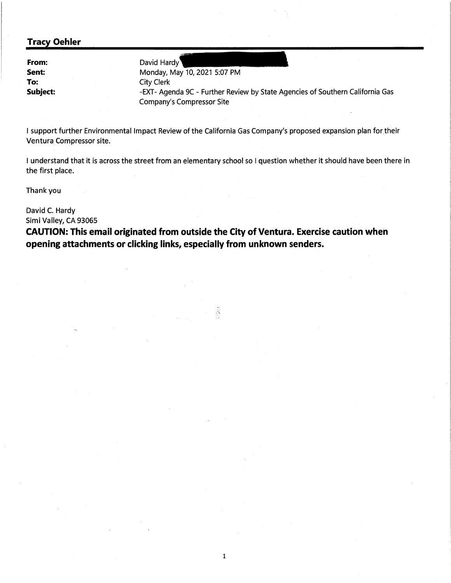**From: Sent: To: Subject:** 

David Hardy Monday, May 10, 2021 5:07 PM City Clerk -EXT- Agenda 9C - Further Review by State Agencies of Southern California Gas Company's Compressor Site

I support further Environmental Impact Review of the California Gas Company's proposed expansion plan for their Ventura Compressor site.

I understand that it is across the street from an elementary school so I question whether it should have been there in the first place.

Thank you

David C. Hardy Simi Valley, CA 93065

**CAUTION: This email originated from outside the City of Ventura. Exercise caution when opening attachments or clicking links, especially from unknown senders.** 

 $\hat{\mathbb{R}}$ 

1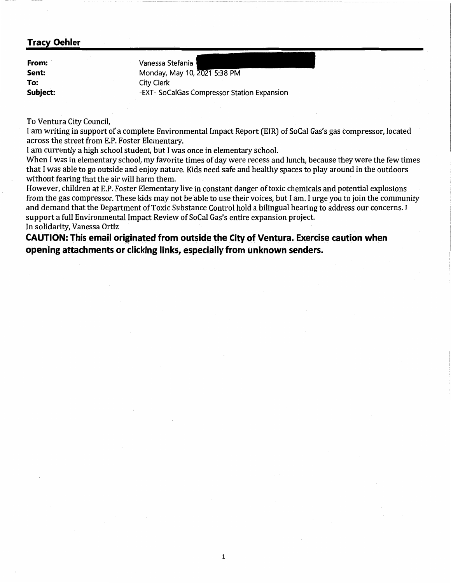**From:** · **Sent: To: Subject:**  Vanessa Stefania Monday, May 10, 2021 5:38 PM City Clerk -EXT- SoCalGas Compressor Station Expansion

To Ventura City Council,

I am writing in support of a complete Environmental Impact Report (EIR) of SoCal Gas's gas compressor, located across the street from E.P. Foster Elementary.

I am currently a high school student, but I was once in elementary school.

When I was in elementary school, my favorite times of day were recess and lunch, because they were the few times that I was able to go outside and enjoy nature. Kids need safe and healthy spaces to play around in the outdoors without fearing that the air will harm them.

However, children at E.P. Foster Elementary live in constant danger of toxic chemicals and potential explosions from the gas compressor. These kids may not be able to use their voices, but I am. I urge you to join the community and demand that the Department of Toxic Substance Control hold a bilingual hearing to address our concerns. I support a full Environmental Impact Review of SoCal Gas's entire expansion project. In solidarity, Vanessa Ortiz

1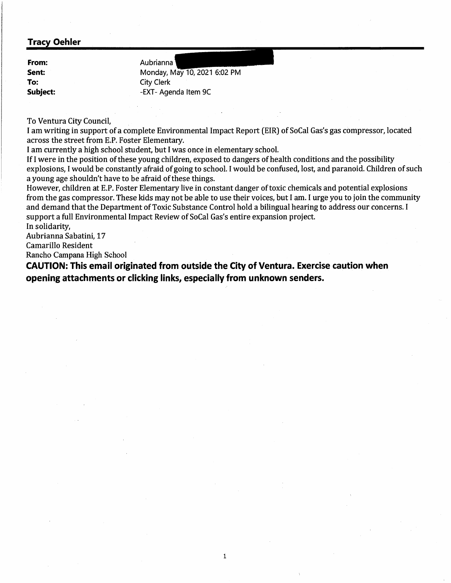**From: Sent: To: Subject:**  Aubrianna Monday, May 10, 2021 6:02 PM City Clerk -EXT- Agenda Item 9C

To Ventura City Council,

I am writing in support of a complete Environmental Impact Report (EIR) of SoCal Gas's gas compressor, located across the street from E.P. Foster Elementary.

I am currently a high school student, but I was once in elementary school.

If I were in the position of these young children, exposed to dangers of health conditions and the possibility explosions, I would be constantly afraid of going to school. I would be confused, lost, and paranoid. Children of such a young age shouldn't have to be afraid of these things.

However, children at E.P. Foster Elementary live in constant danger of toxic chemicals and potential explosions from the gas compressor. These kids may not be able to use their voices, but I am. I urge you to join the community and demand that the Department of Toxic Substance Control hold a bilingual hearing to address our concerns. I support a full Environmental Impact Review of SoCal Gas's entire expansion project.

1

In solidarity,

Aubrianna Sabatini, 17

Camarillo Resident

Rancho Campana High School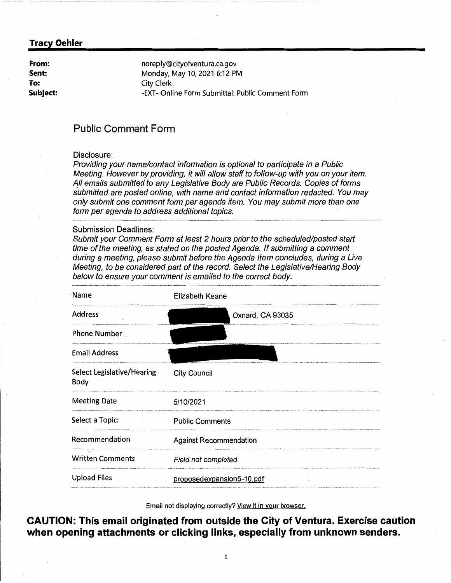**From: Sent: To: Subject:**  noreply@cityofventura.ca.gov Monday, May 10, 2021 6:12 PM City Clerk -EXT- Online Form Submittal: Public Comment Form

# **Public Comment Form**

#### Disclosure:

Providing your name/contact information is optional to participate in a Public Meeting. However by providing, it will allow staff to follow-up with you on your item. All emails submitted to any Legislative Body are Public Records. Copies of forms submitted are posted online, with name and contact information redacted. You may only submit one comment form per agenda item. You may submit more than one form per agenda to address additional topics.

#### Submission Deadlines:

Submit your Comment Form at least 2 hours prior to the scheduled/posted start time of the meeting, as stated on the posted Agenda. If submitting a comment during a meeting, please submit before the Agenda Item concludes, during a Live Meeting, to be considered part of the record. Select the Legislative/Hearing Body below to ensure your comment is emailed to the correct body.

| Name                               | Elizabeth Keane               |
|------------------------------------|-------------------------------|
| <b>Address</b>                     | Oxnard, CA 93035              |
| <b>Phone Number</b>                |                               |
| <b>Email Address</b>               |                               |
| Select Legislative/Hearing<br>Body | <b>City Council</b>           |
| <b>Meeting Date</b>                | 5/10/2021                     |
| Select a Topic:                    | <b>Public Comments</b>        |
| Recommendation                     | <b>Against Recommendation</b> |
| <b>Written Comments</b>            | Field not completed.          |
| <b>Upload Files</b>                | proposedexpansion5-10.pdf     |

Email not displaying correctly? View it in your browser.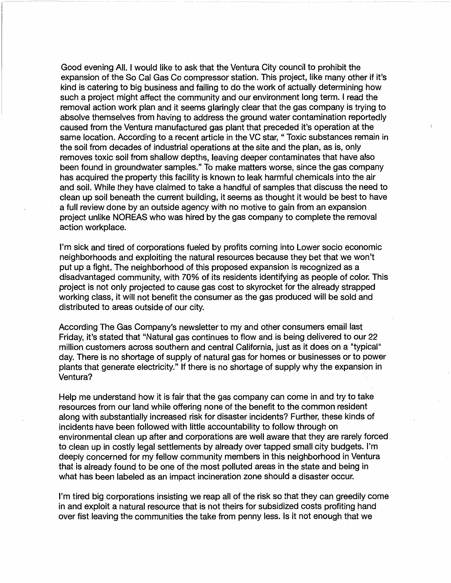Good evening All. I would like to ask that the Ventura City council to prohibit the expansion of the So Cal Gas Co compressor station. This project, like many other if it's kind is catering to big business and failing to do the work of actually determining how such a project might affect the community and our environment long term. I read the removal action work plan and it seems glaringly clear that the gas company is trying to absolve themselves from having to address the ground water contamination reportedly caused from the Ventura manufactured gas plant that preceded it's operation at the same location. According to a recent article in the VC star, "Toxic substances remain in the soil from decades of industrial operations at the site and the plan, as is, only removes toxic soil from shallow depths, leaving deeper contaminates that have also been found in groundwater samples." To make matters worse, since the gas company has acquired the property this facility is known to leak harmful chemicals into the air and soil. While they have claimed to take a handful of samples that discuss the need to clean up soil beneath the current building, it seems as thought it would be best to have a full review done by an outside agency with no motive to gain from an expansion project unlike NOREAS who was hired by the gas company to complete the removal action workplace.

I'm sick and tired of corporations fueled by profits coming into Lower socio economic neighborhoods and exploiting the natural resources because they bet that we won't put up a fight. The neighborhood of this proposed expansion is recognized as a disadvantaged community, with 70% of its residents identifying as people of color. This project is not only projected to cause gas cost to skyrocket for the already strapped working class, it will not benefit the consumer as the gas produced will be sold and distributed to areas outside of our city.

According The Gas Company's newsletter to my and other consumers email last Friday, it's stated that "Natural gas continues to flow and is being delivered to our 22 million customers across southern and central California, just as it does on a "typical" day. There is no shortage of supply of natural gas for homes or businesses or to power plants that generate electricity." If there is no shortage of supply why the expansion in Ventura?

Help me understand how it is fair that the gas company can come in and try to take resources from our land while offering none of the benefit to the common resident along with substantially increased risk for disaster incidents? Further, these kinds of incidents have been followed with little accountability to follow through on environmental clean up after and corporations are well aware that they are rarely forced to clean up in costly legal settlements by already over tapped small city budgets. I'm deeply concerned for my fellow community members in this neighborhood in Ventura that is already found to be one of the most polluted areas in the state and being in what has been labeled as an impact incineration zone should a disaster occur.

I'm tired big corporations insisting we reap all of the risk so that they can greedily come in and exploit a natural resource that is not theirs for subsidized costs profiting hand over fist leaving the communities the take from penny less. Is it not enough that we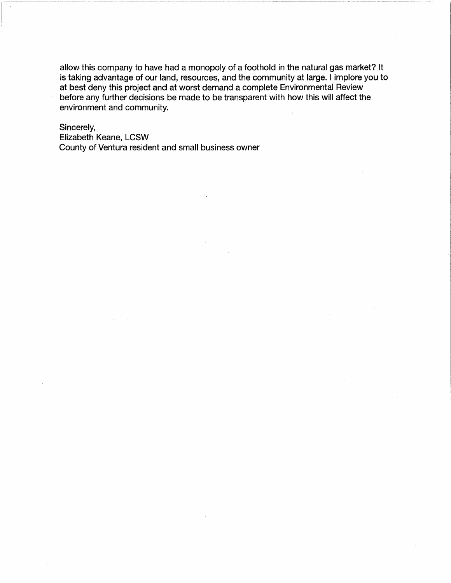allow this company to have had a monopoly of a foothold in the natural gas market? It is taking advantage of our land, resources, and the community at large. I implore you to at best deny this project and at worst demand a complete Environmental Review before any further decisions be made to be transparent with how this will affect the environment and community.

#### Sincerely,

Elizabeth Keane, LCSW County of Ventura resident and small business owner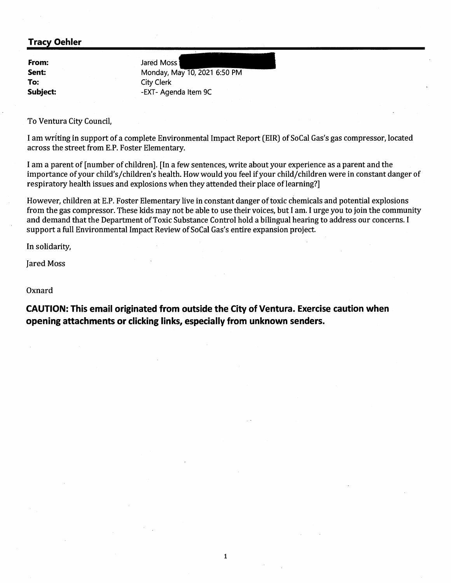**From: Sent: To: Subject:**  Jared Moss Monday, May 10, 2021 6:50 PM City Clerk -EXT- Agenda Item 9C

To Ventura City Council,

I am writing in support of a complete Environmental Impact Report (EIR) of SoCal Gas's gas compressor, located across the street from E.P. Foster Elementary.

I am a parent of [number of children]. [In a few sentences, write about your experience as a parent and the importance of your child's/children's health. How would you feel if your child/children were in constant danger of respiratory health issues and explosions when they attended their place of learning?]

However, children at E.P. Foster Elementary live in constant danger of toxic chemicals and potential explosions from the gas compressor. These kids may not be able to use their voices, but I am. I urge you to join the community and demand that the Department of Toxic Substance Control hold a bilingual hearing to address our concerns. I support a full Environmental Impact Review of SoCal Gas's entire expansion project.

In solidarity,

Jared Moss

Oxnard

**CAUTION: This email originated from outside the City of Ventura. Exercise caution when opening attachments or clicking links, especially from unknown senders.** 

1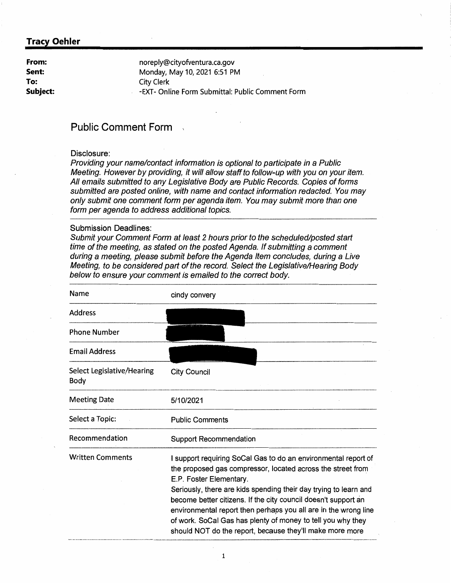**From: Sent: To: Subject:**  noreply@cityofventura.ca.gov Monday, May 10, 2021 6:51 PM City Clerk -EXT- Online Form Submittal: Public Comment Form

# **Public Comment Form** ,

#### Disclosure:

Providing your name/contact information is optional to participate in a Public Meeting. However by providing, it will allow staff to follow-up with you on your item. All emails submitted to any Legislative Body are Public Records. Copies of forms submitted are posted online, with name and contact information redacted. You may only submit one comment form per agenda item. You may submit more than one form per agenda to address additional topics.

#### Submission Deadlines:

Submit your Comment Form at least 2 hours prior to the scheduled/posted start time of the meeting, as stated on the posted Agenda. If submitting a comment during a meeting, please submit before the Agenda Item concludes, during a Live Meeting, to be considered part of the record. Select the Legislative/Hearing Body below to ensure your comment is emailed to the correct body.

| Name                               | cindy convery                                                                                                                                                                                                                                                                                                                                                                                                                                                                                |
|------------------------------------|----------------------------------------------------------------------------------------------------------------------------------------------------------------------------------------------------------------------------------------------------------------------------------------------------------------------------------------------------------------------------------------------------------------------------------------------------------------------------------------------|
| <b>Address</b>                     |                                                                                                                                                                                                                                                                                                                                                                                                                                                                                              |
| <b>Phone Number</b>                |                                                                                                                                                                                                                                                                                                                                                                                                                                                                                              |
| <b>Email Address</b>               |                                                                                                                                                                                                                                                                                                                                                                                                                                                                                              |
| Select Legislative/Hearing<br>Body | <b>City Council</b>                                                                                                                                                                                                                                                                                                                                                                                                                                                                          |
| <b>Meeting Date</b>                | 5/10/2021                                                                                                                                                                                                                                                                                                                                                                                                                                                                                    |
| Select a Topic:                    | <b>Public Comments</b>                                                                                                                                                                                                                                                                                                                                                                                                                                                                       |
| Recommendation                     | <b>Support Recommendation</b>                                                                                                                                                                                                                                                                                                                                                                                                                                                                |
| <b>Written Comments</b>            | I support requiring SoCal Gas to do an environmental report of<br>the proposed gas compressor, located across the street from<br>E.P. Foster Elementary.<br>Seriously, there are kids spending their day trying to learn and<br>become better citizens. If the city council doesn't support an<br>environmental report then perhaps you all are in the wrong line<br>of work. SoCal Gas has plenty of money to tell you why they<br>should NOT do the report, because they'll make more more |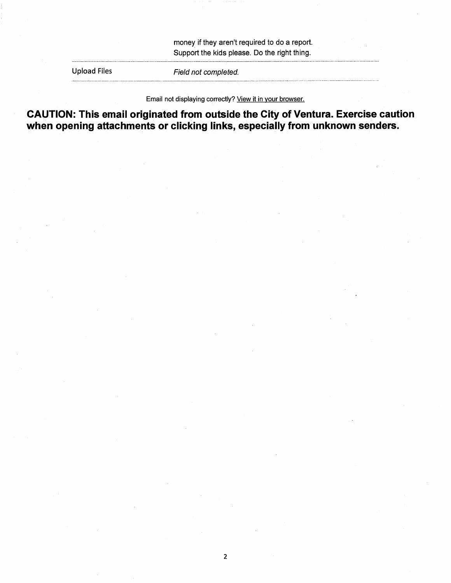money if they aren't required to do a report. Support the kids please. Do the right thing.

Upload Files Field not completed.

Email not displaying correctly? View it in your browser.